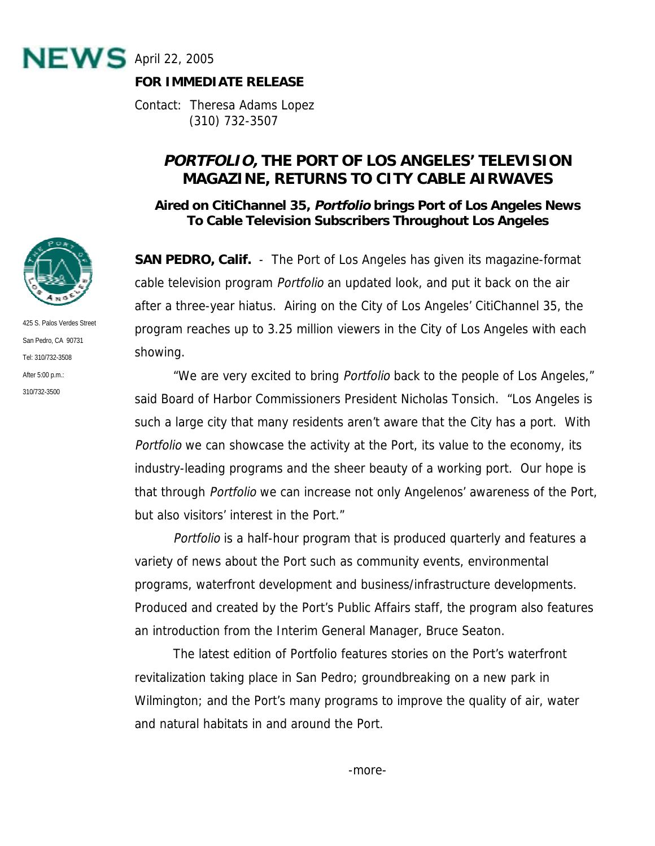

## **FOR IMMEDIATE RELEASE**

Contact: Theresa Adams Lopez (310) 732-3507

## **PORTFOLIO, THE PORT OF LOS ANGELES' TELEVISION MAGAZINE, RETURNS TO CITY CABLE AIRWAVES**

**Aired on CitiChannel 35, Portfolio brings Port of Los Angeles News To Cable Television Subscribers Throughout Los Angeles** 

**SAN PEDRO, Calif.** - The Port of Los Angeles has given its magazine-format cable television program Portfolio an updated look, and put it back on the air after a three-year hiatus. Airing on the City of Los Angeles' CitiChannel 35, the program reaches up to 3.25 million viewers in the City of Los Angeles with each showing.

 "We are very excited to bring Portfolio back to the people of Los Angeles," said Board of Harbor Commissioners President Nicholas Tonsich. "Los Angeles is such a large city that many residents aren't aware that the City has a port. With Portfolio we can showcase the activity at the Port, its value to the economy, its industry-leading programs and the sheer beauty of a working port. Our hope is that through Portfolio we can increase not only Angelenos' awareness of the Port, but also visitors' interest in the Port."

Portfolio is a half-hour program that is produced quarterly and features a variety of news about the Port such as community events, environmental programs, waterfront development and business/infrastructure developments. Produced and created by the Port's Public Affairs staff, the program also features an introduction from the Interim General Manager, Bruce Seaton.

 The latest edition of Portfolio features stories on the Port's waterfront revitalization taking place in San Pedro; groundbreaking on a new park in Wilmington; and the Port's many programs to improve the quality of air, water and natural habitats in and around the Port.



425 S. Palos Verdes Street San Pedro, CA 90731 Tel: 310/732-3508 After 5:00 p.m.: 310/732-3500